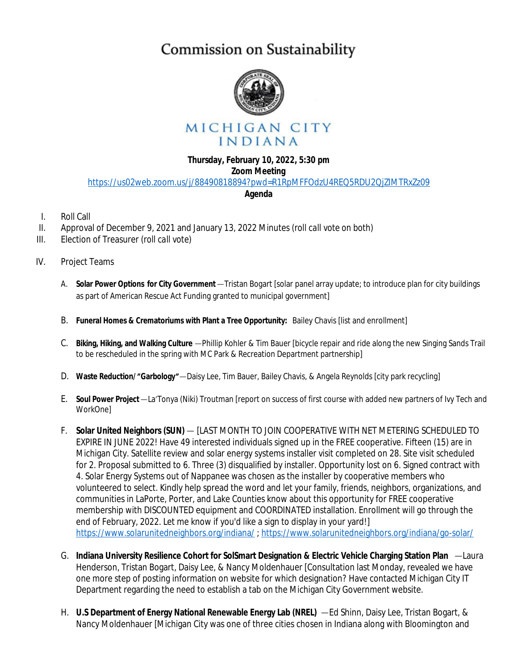# Commission on Sustainability



# MICHIGAN CITY INDIANA

## **Thursday, February 10, 2022, 5:30 pm**

### **Zoom Meeting**

<https://us02web.zoom.us/j/88490818894?pwd=R1RpMFFOdzU4REQ5RDU2QjZIMTRxZz09>

#### **Agenda**

- I. Roll Call
- II. Approval of December 9, 2021 and January 13, 2022 Minutes *(roll call vote on both)*
- III. Election of Treasurer *(roll call vote)*
- IV. Project Teams
	- A. **Solar Power Options for City Government**—Tristan Bogart [solar panel array update; to introduce plan for city buildings as part of American Rescue Act Funding granted to municipal government]
	- B. **Funeral Homes & Crematoriums with Plant a Tree Opportunity:** Bailey Chavis [list and enrollment]
	- C. **Biking, Hiking, and Walking Culture** —Phillip Kohler & Tim Bauer [bicycle repair and ride along the new Singing Sands Trail to be rescheduled in the spring with MC Park & Recreation Department partnership]
	- D. **Waste Reduction/** "**Garbology**"—Daisy Lee, Tim Bauer, Bailey Chavis, & Angela Reynolds [city park recycling]
	- E. **Soul Power Project**—La'Tonya (Niki) Troutman [report on success of first course with added new partners of Ivy Tech and WorkOne]
	- F. **Solar United Neighbors (SUN)** [LAST MONTH TO JOIN COOPERATIVE WITH NET METERING SCHEDULED TO EXPIRE IN JUNE 2022! Have 49 interested individuals signed up in the FREE cooperative. Fifteen (15) are in Michigan City. Satellite review and solar energy systems installer visit completed on 28. Site visit scheduled for 2. Proposal submitted to 6. Three (3) disqualified by installer. Opportunity lost on 6. Signed contract with 4. Solar Energy Systems out of Nappanee was chosen as the installer by cooperative members who volunteered to select. Kindly help spread the word and let your family, friends, neighbors, organizations, and communities in LaPorte, Porter, and Lake Counties know about this opportunity for FREE cooperative membership with DISCOUNTED equipment and COORDINATED installation. Enrollment will go through the end of February, 2022. Let me know if you'd like a sign to display in your yard!] <https://www.solarunitedneighbors.org/indiana/> ;<https://www.solarunitedneighbors.org/indiana/go-solar/>
	- G. **Indiana University Resilience Cohort for SolSmart Designation & Electric Vehicle Charging Station Plan** —Laura Henderson, Tristan Bogart, Daisy Lee, & Nancy Moldenhauer [Consultation last Monday, revealed we have one more step of posting information on website for which designation? Have contacted Michigan City IT Department regarding the need to establish a tab on the Michigan City Government website.
	- H. **U.S Department of Energy National Renewable Energy Lab (NREL)** —Ed Shinn, Daisy Lee, Tristan Bogart, & Nancy Moldenhauer [Michigan City was one of three cities chosen in Indiana along with Bloomington and